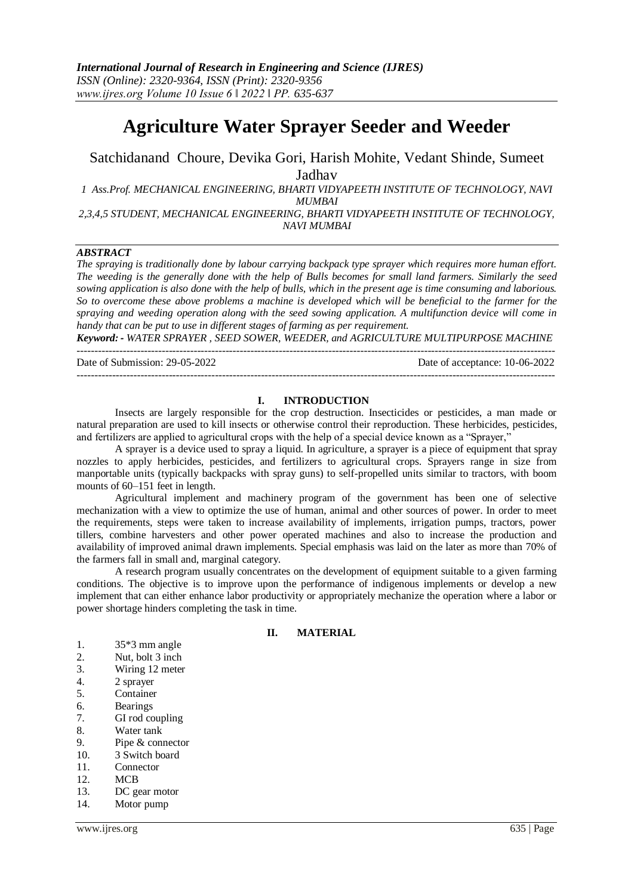# **Agriculture Water Sprayer Seeder and Weeder**

Satchidanand Choure, Devika Gori, Harish Mohite, Vedant Shinde, Sumeet Jadhav

*1 Ass.Prof. MECHANICAL ENGINEERING, BHARTI VIDYAPEETH INSTITUTE OF TECHNOLOGY, NAVI MUMBAI*

*2,3,4,5 STUDENT, MECHANICAL ENGINEERING, BHARTI VIDYAPEETH INSTITUTE OF TECHNOLOGY, NAVI MUMBAI*

# *ABSTRACT*

*The spraying is traditionally done by labour carrying backpack type sprayer which requires more human effort. The weeding is the generally done with the help of Bulls becomes for small land farmers. Similarly the seed sowing application is also done with the help of bulls, which in the present age is time consuming and laborious. So to overcome these above problems a machine is developed which will be beneficial to the farmer for the spraying and weeding operation along with the seed sowing application. A multifunction device will come in handy that can be put to use in different stages of farming as per requirement.* 

*Keyword: - WATER SPRAYER , SEED SOWER, WEEDER, and AGRICULTURE MULTIPURPOSE MACHINE*  $-1\leq i\leq n-1$ 

Date of Submission: 29-05-2022 Date of acceptance: 10-06-2022

---------------------------------------------------------------------------------------------------------------------------------------

#### **I. INTRODUCTION**

Insects are largely responsible for the crop destruction. Insecticides or pesticides, a man made or natural preparation are used to kill insects or otherwise control their reproduction. These herbicides, pesticides, and fertilizers are applied to agricultural crops with the help of a special device known as a "Sprayer,"

A sprayer is a device used to spray a liquid. In agriculture, a sprayer is a piece of equipment that spray nozzles to apply herbicides, pesticides, and fertilizers to agricultural crops. Sprayers range in size from manportable units (typically backpacks with spray guns) to self-propelled units similar to tractors, with boom mounts of 60–151 feet in length.

Agricultural implement and machinery program of the government has been one of selective mechanization with a view to optimize the use of human, animal and other sources of power. In order to meet the requirements, steps were taken to increase availability of implements, irrigation pumps, tractors, power tillers, combine harvesters and other power operated machines and also to increase the production and availability of improved animal drawn implements. Special emphasis was laid on the later as more than 70% of the farmers fall in small and, marginal category.

A research program usually concentrates on the development of equipment suitable to a given farming conditions. The objective is to improve upon the performance of indigenous implements or develop a new implement that can either enhance labor productivity or appropriately mechanize the operation where a labor or power shortage hinders completing the task in time.

#### **II. MATERIAL**

- 1. 35\*3 mm angle
- 2. Nut, bolt 3 inch
- 3. Wiring 12 meter
- 4. 2 sprayer
- 5. Container
- 6. Bearings
- 7. GI rod coupling
- 8. Water tank
- 9. Pipe & connector
- 10. 3 Switch board
- 11. Connector
- 12. MCB
- 13. DC gear motor
- 14. Motor pump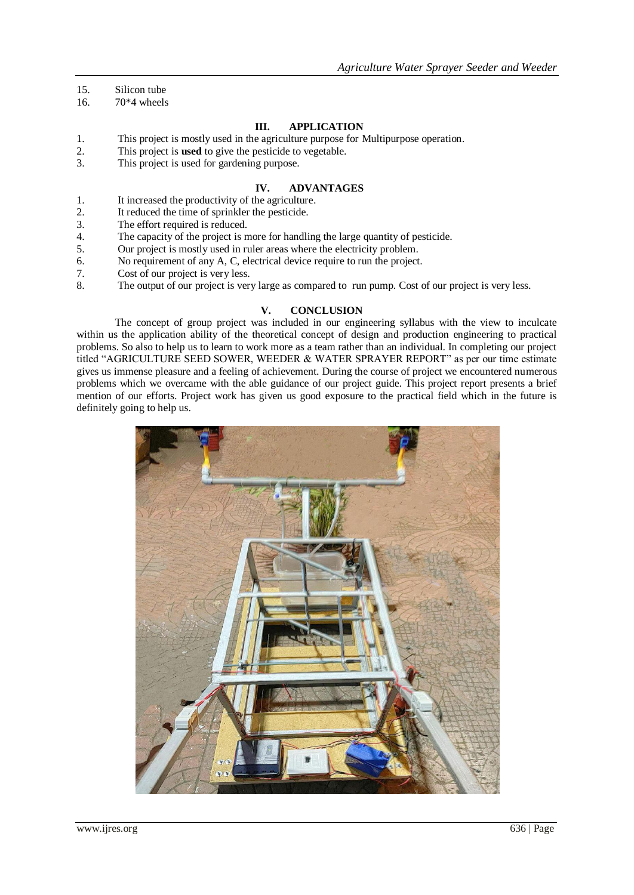- 15. Silicon tube
- 16. 70\*4 wheels

# **III. APPLICATION**

- 1. This project is mostly used in the agriculture purpose for Multipurpose operation.
- 2. This project is **used** to give the pesticide to vegetable.
- 3. This project is used for gardening purpose.

# **IV. ADVANTAGES**

- 1. It increased the productivity of the agriculture.
- 2. It reduced the time of sprinkler the pesticide.
- 3. The effort required is reduced.
- 4. The capacity of the project is more for handling the large quantity of pesticide.
- 5. Our project is mostly used in ruler areas where the electricity problem.
- 6. No requirement of any A, C, electrical device require to run the project.
- 7. Cost of our project is very less.
- 8. The output of our project is very large as compared to run pump. Cost of our project is very less.

## **V. CONCLUSION**

The concept of group project was included in our engineering syllabus with the view to inculcate within us the application ability of the theoretical concept of design and production engineering to practical problems. So also to help us to learn to work more as a team rather than an individual. In completing our project titled "AGRICULTURE SEED SOWER, WEEDER & WATER SPRAYER REPORT" as per our time estimate gives us immense pleasure and a feeling of achievement. During the course of project we encountered numerous problems which we overcame with the able guidance of our project guide. This project report presents a brief mention of our efforts. Project work has given us good exposure to the practical field which in the future is definitely going to help us.